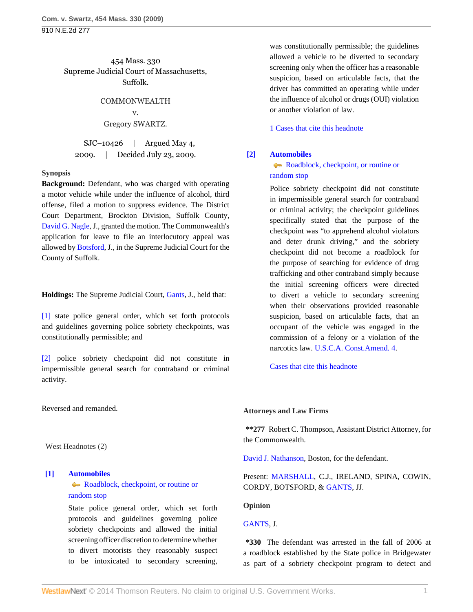910 N.E.2d 277

454 Mass. 330 Supreme Judicial Court of Massachusetts, Suffolk.

> COMMONWEALTH v. Gregory SWARTZ.

SJC–10426 | Argued May 4, 2009. | Decided July 23, 2009.

### **Synopsis**

**Background:** Defendant, who was charged with operating a motor vehicle while under the influence of alcohol, third offense, filed a motion to suppress evidence. The District Court Department, Brockton Division, Suffolk County, [David G. Nagle,](http://www.westlaw.com/Link/Document/FullText?findType=h&pubNum=176284&cite=0220771501&originatingDoc=Ic38a1c2976b511de9988d233d23fe599&refType=RQ&originationContext=document&vr=3.0&rs=cblt1.0&transitionType=DocumentItem&contextData=(sc.Search)) J., granted the motion. The Commonwealth's application for leave to file an interlocutory appeal was allowed by [Botsford,](http://www.westlaw.com/Link/Document/FullText?findType=h&pubNum=176284&cite=0181590601&originatingDoc=Ic38a1c2976b511de9988d233d23fe599&refType=RQ&originationContext=document&vr=3.0&rs=cblt1.0&transitionType=DocumentItem&contextData=(sc.Search)) J., in the Supreme Judicial Court for the County of Suffolk.

**Holdings:** The Supreme Judicial Court, [Gants](http://www.westlaw.com/Link/Document/FullText?findType=h&pubNum=176284&cite=0331352501&originatingDoc=Ic38a1c2976b511de9988d233d23fe599&refType=RQ&originationContext=document&vr=3.0&rs=cblt1.0&transitionType=DocumentItem&contextData=(sc.Search)), J., held that:

[\[1\]](#page-0-0) state police general order, which set forth protocols and guidelines governing police sobriety checkpoints, was constitutionally permissible; and

[\[2\]](#page-0-1) police sobriety checkpoint did not constitute in impermissible general search for contraband or criminal activity.

Reversed and remanded.

West Headnotes (2)

## <span id="page-0-0"></span>**[\[1\]](#page-1-0) [Automobiles](http://www.westlaw.com/Browse/Home/KeyNumber/48A/View.html?docGuid=Ic38a1c2976b511de9988d233d23fe599&originationContext=document&vr=3.0&rs=cblt1.0&transitionType=DocumentItem&contextData=(sc.Search))**

# [Roadblock, checkpoint, or routine or](http://www.westlaw.com/Browse/Home/KeyNumber/48Ak349(9)/View.html?docGuid=Ic38a1c2976b511de9988d233d23fe599&originationContext=document&vr=3.0&rs=cblt1.0&transitionType=DocumentItem&contextData=(sc.Search)) [random stop](http://www.westlaw.com/Browse/Home/KeyNumber/48Ak349(9)/View.html?docGuid=Ic38a1c2976b511de9988d233d23fe599&originationContext=document&vr=3.0&rs=cblt1.0&transitionType=DocumentItem&contextData=(sc.Search))

State police general order, which set forth protocols and guidelines governing police sobriety checkpoints and allowed the initial screening officer discretion to determine whether to divert motorists they reasonably suspect to be intoxicated to secondary screening,

was constitutionally permissible; the guidelines allowed a vehicle to be diverted to secondary screening only when the officer has a reasonable suspicion, based on articulable facts, that the driver has committed an operating while under the influence of alcohol or drugs (OUI) violation or another violation of law.

[1 Cases that cite this headnote](http://www.westlaw.com/Link/RelatedInformation/DocHeadnoteLink?docGuid=Ic38a1c2976b511de9988d233d23fe599&headnoteId=201942815000120100921093550&originationContext=document&vr=3.0&rs=cblt1.0&transitionType=CitingReferences&contextData=(sc.Search))

# <span id="page-0-1"></span>**[\[2\]](#page-2-0) [Automobiles](http://www.westlaw.com/Browse/Home/KeyNumber/48A/View.html?docGuid=Ic38a1c2976b511de9988d233d23fe599&originationContext=document&vr=3.0&rs=cblt1.0&transitionType=DocumentItem&contextData=(sc.Search))**

# [Roadblock, checkpoint, or routine or](http://www.westlaw.com/Browse/Home/KeyNumber/48Ak349(9)/View.html?docGuid=Ic38a1c2976b511de9988d233d23fe599&originationContext=document&vr=3.0&rs=cblt1.0&transitionType=DocumentItem&contextData=(sc.Search)) [random stop](http://www.westlaw.com/Browse/Home/KeyNumber/48Ak349(9)/View.html?docGuid=Ic38a1c2976b511de9988d233d23fe599&originationContext=document&vr=3.0&rs=cblt1.0&transitionType=DocumentItem&contextData=(sc.Search))

Police sobriety checkpoint did not constitute in impermissible general search for contraband or criminal activity; the checkpoint guidelines specifically stated that the purpose of the checkpoint was "to apprehend alcohol violators and deter drunk driving," and the sobriety checkpoint did not become a roadblock for the purpose of searching for evidence of drug trafficking and other contraband simply because the initial screening officers were directed to divert a vehicle to secondary screening when their observations provided reasonable suspicion, based on articulable facts, that an occupant of the vehicle was engaged in the commission of a felony or a violation of the narcotics law. [U.S.C.A. Const.Amend. 4.](http://www.westlaw.com/Link/Document/FullText?findType=L&pubNum=1000546&cite=USCOAMENDIV&originatingDoc=Ic38a1c2976b511de9988d233d23fe599&refType=LQ&originationContext=document&vr=3.0&rs=cblt1.0&transitionType=DocumentItem&contextData=(sc.Search))

[Cases that cite this headnote](http://www.westlaw.com/Link/RelatedInformation/DocHeadnoteLink?docGuid=Ic38a1c2976b511de9988d233d23fe599&headnoteId=201942815000220100921093550&originationContext=document&vr=3.0&rs=cblt1.0&transitionType=CitingReferences&contextData=(sc.Search))

## **Attorneys and Law Firms**

**\*\*277** Robert C. Thompson, Assistant District Attorney, for the Commonwealth.

[David J. Nathanson,](http://www.westlaw.com/Link/Document/FullText?findType=h&pubNum=176284&cite=0102579301&originatingDoc=Ic38a1c2976b511de9988d233d23fe599&refType=RQ&originationContext=document&vr=3.0&rs=cblt1.0&transitionType=DocumentItem&contextData=(sc.Search)) Boston, for the defendant.

Present: [MARSHALL](http://www.westlaw.com/Link/Document/FullText?findType=h&pubNum=176284&cite=0136194301&originatingDoc=Ic38a1c2976b511de9988d233d23fe599&refType=RQ&originationContext=document&vr=3.0&rs=cblt1.0&transitionType=DocumentItem&contextData=(sc.Search)), C.J., IRELAND, SPINA, COWIN, CORDY, BOTSFORD, & [GANTS,](http://www.westlaw.com/Link/Document/FullText?findType=h&pubNum=176284&cite=0331352501&originatingDoc=Ic38a1c2976b511de9988d233d23fe599&refType=RQ&originationContext=document&vr=3.0&rs=cblt1.0&transitionType=DocumentItem&contextData=(sc.Search)) JJ.

## **Opinion**

## [GANTS](http://www.westlaw.com/Link/Document/FullText?findType=h&pubNum=176284&cite=0331352501&originatingDoc=Ic38a1c2976b511de9988d233d23fe599&refType=RQ&originationContext=document&vr=3.0&rs=cblt1.0&transitionType=DocumentItem&contextData=(sc.Search)), J.

**\*330** The defendant was arrested in the fall of 2006 at a roadblock established by the State police in Bridgewater as part of a sobriety checkpoint program to detect and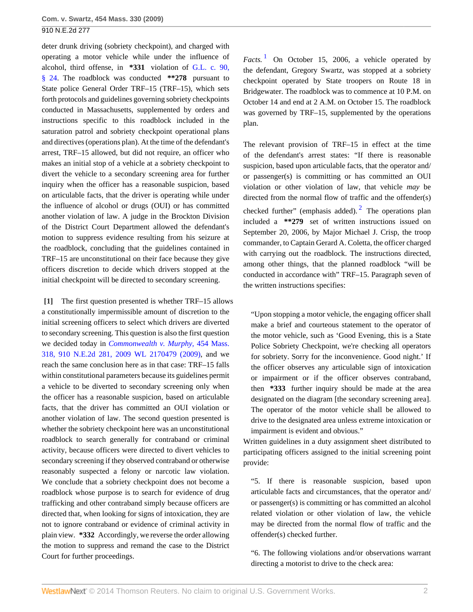910 N.E.2d 277

deter drunk driving (sobriety checkpoint), and charged with operating a motor vehicle while under the influence of alcohol, third offense, in **\*331** violation of [G.L. c. 90,](http://www.westlaw.com/Link/Document/FullText?findType=L&pubNum=1000042&cite=MAST90S24&originatingDoc=Ic38a1c2976b511de9988d233d23fe599&refType=LQ&originationContext=document&vr=3.0&rs=cblt1.0&transitionType=DocumentItem&contextData=(sc.Search)) [§ 24](http://www.westlaw.com/Link/Document/FullText?findType=L&pubNum=1000042&cite=MAST90S24&originatingDoc=Ic38a1c2976b511de9988d233d23fe599&refType=LQ&originationContext=document&vr=3.0&rs=cblt1.0&transitionType=DocumentItem&contextData=(sc.Search)). The roadblock was conducted **\*\*278** pursuant to State police General Order TRF–15 (TRF–15), which sets forth protocols and guidelines governing sobriety checkpoints conducted in Massachusetts, supplemented by orders and instructions specific to this roadblock included in the saturation patrol and sobriety checkpoint operational plans and directives (operations plan). At the time of the defendant's arrest, TRF–15 allowed, but did not require, an officer who makes an initial stop of a vehicle at a sobriety checkpoint to divert the vehicle to a secondary screening area for further inquiry when the officer has a reasonable suspicion, based on articulable facts, that the driver is operating while under the influence of alcohol or drugs (OUI) or has committed another violation of law. A judge in the Brockton Division of the District Court Department allowed the defendant's motion to suppress evidence resulting from his seizure at the roadblock, concluding that the guidelines contained in TRF–15 are unconstitutional on their face because they give officers discretion to decide which drivers stopped at the initial checkpoint will be directed to secondary screening.

<span id="page-1-0"></span>**[\[1\]](#page-0-0)** The first question presented is whether TRF–15 allows a constitutionally impermissible amount of discretion to the initial screening officers to select which drivers are diverted to secondary screening. This question is also the first question we decided today in *[Commonwealth v. Murphy,](http://www.westlaw.com/Link/Document/FullText?findType=Y&serNum=2019428154&pubNum=0000999&originationContext=document&vr=3.0&rs=cblt1.0&transitionType=DocumentItem&contextData=(sc.Search))* 454 Mass. [318, 910 N.E.2d 281, 2009 WL 2170479 \(2009\),](http://www.westlaw.com/Link/Document/FullText?findType=Y&serNum=2019428154&pubNum=0000999&originationContext=document&vr=3.0&rs=cblt1.0&transitionType=DocumentItem&contextData=(sc.Search)) and we reach the same conclusion here as in that case: TRF–15 falls within constitutional parameters because its guidelines permit a vehicle to be diverted to secondary screening only when the officer has a reasonable suspicion, based on articulable facts, that the driver has committed an OUI violation or another violation of law. The second question presented is whether the sobriety checkpoint here was an unconstitutional roadblock to search generally for contraband or criminal activity, because officers were directed to divert vehicles to secondary screening if they observed contraband or otherwise reasonably suspected a felony or narcotic law violation. We conclude that a sobriety checkpoint does not become a roadblock whose purpose is to search for evidence of drug trafficking and other contraband simply because officers are directed that, when looking for signs of intoxication, they are not to ignore contraband or evidence of criminal activity in plain view. **\*332** Accordingly, we reverse the order allowing the motion to suppress and remand the case to the District Court for further proceedings.

<span id="page-1-1"></span> $Factors.$ <sup>[1](#page-3-0)</sup> On October 15, 2006, a vehicle operated by the defendant, Gregory Swartz, was stopped at a sobriety checkpoint operated by State troopers on Route 18 in Bridgewater. The roadblock was to commence at 10 P.M. on October 14 and end at 2 A.M. on October 15. The roadblock was governed by TRF–15, supplemented by the operations plan.

<span id="page-1-2"></span>The relevant provision of TRF–15 in effect at the time of the defendant's arrest states: "If there is reasonable suspicion, based upon articulable facts, that the operator and/ or passenger(s) is committing or has committed an OUI violation or other violation of law, that vehicle *may* be directed from the normal flow of traffic and the offender(s) checked further" (emphasis added). <sup>[2](#page-3-1)</sup> The operations plan included a **\*\*279** set of written instructions issued on September 20, 2006, by Major Michael J. Crisp, the troop commander, to Captain Gerard A. Coletta, the officer charged with carrying out the roadblock. The instructions directed, among other things, that the planned roadblock "will be conducted in accordance with" TRF–15. Paragraph seven of the written instructions specifies:

"Upon stopping a motor vehicle, the engaging officer shall make a brief and courteous statement to the operator of the motor vehicle, such as 'Good Evening, this is a State Police Sobriety Checkpoint, we're checking all operators for sobriety. Sorry for the inconvenience. Good night.' If the officer observes any articulable sign of intoxication or impairment or if the officer observes contraband, then **\*333** further inquiry should be made at the area designated on the diagram [the secondary screening area]. The operator of the motor vehicle shall be allowed to drive to the designated area unless extreme intoxication or impairment is evident and obvious."

Written guidelines in a duty assignment sheet distributed to participating officers assigned to the initial screening point provide:

"5. If there is reasonable suspicion, based upon articulable facts and circumstances, that the operator and/ or passenger(s) is committing or has committed an alcohol related violation or other violation of law, the vehicle may be directed from the normal flow of traffic and the offender(s) checked further.

"6. The following violations and/or observations warrant directing a motorist to drive to the check area: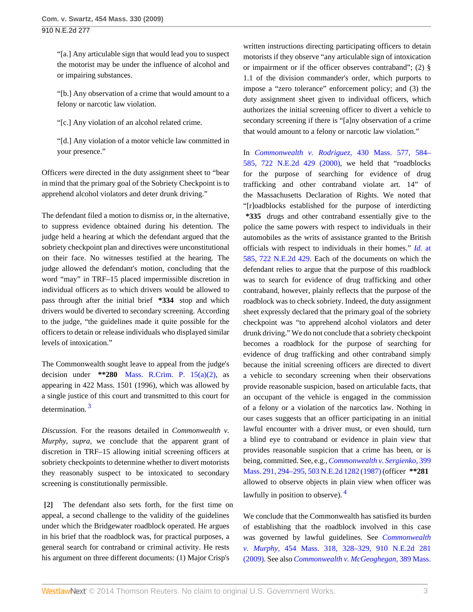"[a.] Any articulable sign that would lead you to suspect the motorist may be under the influence of alcohol and or impairing substances.

"[b.] Any observation of a crime that would amount to a felony or narcotic law violation.

"[c.] Any violation of an alcohol related crime.

"[d.] Any violation of a motor vehicle law committed in your presence."

Officers were directed in the duty assignment sheet to "bear in mind that the primary goal of the Sobriety Checkpoint is to apprehend alcohol violators and deter drunk driving."

The defendant filed a motion to dismiss or, in the alternative, to suppress evidence obtained during his detention. The judge held a hearing at which the defendant argued that the sobriety checkpoint plan and directives were unconstitutional on their face. No witnesses testified at the hearing. The judge allowed the defendant's motion, concluding that the word "may" in TRF–15 placed impermissible discretion in individual officers as to which drivers would be allowed to pass through after the initial brief **\*334** stop and which drivers would be diverted to secondary screening. According to the judge, "the guidelines made it quite possible for the officers to detain or release individuals who displayed similar levels of intoxication."

The Commonwealth sought leave to appeal from the judge's decision under **\*\*280** [Mass. R.Crim. P. 15\(a\)\(2\)](http://www.westlaw.com/Link/Document/FullText?findType=L&pubNum=1000042&cite=MASTRCRPR15&originatingDoc=Ic38a1c2976b511de9988d233d23fe599&refType=LQ&originationContext=document&vr=3.0&rs=cblt1.0&transitionType=DocumentItem&contextData=(sc.Search)), as appearing in 422 Mass. 1501 (1996), which was allowed by a single justice of this court and transmitted to this court for determination. [3](#page-3-2)

<span id="page-2-1"></span>*Discussion.* For the reasons detailed in *Commonwealth v. Murphy, supra,* we conclude that the apparent grant of discretion in TRF–15 allowing initial screening officers at sobriety checkpoints to determine whether to divert motorists they reasonably suspect to be intoxicated to secondary screening is constitutionally permissible.

<span id="page-2-0"></span>**[\[2\]](#page-0-1)** The defendant also sets forth, for the first time on appeal, a second challenge to the validity of the guidelines under which the Bridgewater roadblock operated. He argues in his brief that the roadblock was, for practical purposes, a general search for contraband or criminal activity. He rests his argument on three different documents: (1) Major Crisp's

written instructions directing participating officers to detain motorists if they observe "any articulable sign of intoxication or impairment or if the officer observes contraband"; (2) § 1.1 of the division commander's order, which purports to impose a "zero tolerance" enforcement policy; and (3) the duty assignment sheet given to individual officers, which authorizes the initial screening officer to divert a vehicle to secondary screening if there is "[a]ny observation of a crime that would amount to a felony or narcotic law violation."

In *[Commonwealth v. Rodriguez,](http://www.westlaw.com/Link/Document/FullText?findType=Y&serNum=2000033295&pubNum=578&originationContext=document&vr=3.0&rs=cblt1.0&transitionType=DocumentItem&contextData=(sc.Search))* 430 Mass. 577, 584– [585, 722 N.E.2d 429 \(2000\)](http://www.westlaw.com/Link/Document/FullText?findType=Y&serNum=2000033295&pubNum=578&originationContext=document&vr=3.0&rs=cblt1.0&transitionType=DocumentItem&contextData=(sc.Search)), we held that "roadblocks for the purpose of searching for evidence of drug trafficking and other contraband violate art. 14" of the Massachusetts Declaration of Rights. We noted that "[r]oadblocks established for the purpose of interdicting **\*335** drugs and other contraband essentially give to the police the same powers with respect to individuals in their automobiles as the writs of assistance granted to the British officials with respect to individuals in their homes." *Id.* [at](http://www.westlaw.com/Link/Document/FullText?findType=Y&serNum=2000033295&pubNum=578&originationContext=document&vr=3.0&rs=cblt1.0&transitionType=DocumentItem&contextData=(sc.Search)) [585, 722 N.E.2d 429.](http://www.westlaw.com/Link/Document/FullText?findType=Y&serNum=2000033295&pubNum=578&originationContext=document&vr=3.0&rs=cblt1.0&transitionType=DocumentItem&contextData=(sc.Search)) Each of the documents on which the defendant relies to argue that the purpose of this roadblock was to search for evidence of drug trafficking and other contraband, however, plainly reflects that the purpose of the roadblock was to check sobriety. Indeed, the duty assignment sheet expressly declared that the primary goal of the sobriety checkpoint was "to apprehend alcohol violators and deter drunk driving." We do not conclude that a sobriety checkpoint becomes a roadblock for the purpose of searching for evidence of drug trafficking and other contraband simply because the initial screening officers are directed to divert a vehicle to secondary screening when their observations provide reasonable suspicion, based on articulable facts, that an occupant of the vehicle is engaged in the commission of a felony or a violation of the narcotics law. Nothing in our cases suggests that an officer participating in an initial lawful encounter with a driver must, or even should, turn a blind eye to contraband or evidence in plain view that provides reasonable suspicion that a crime has been, or is being, committed. See, e.g., *[Commonwealth v. Sergienko,](http://www.westlaw.com/Link/Document/FullText?findType=Y&serNum=1987024768&pubNum=578&originationContext=document&vr=3.0&rs=cblt1.0&transitionType=DocumentItem&contextData=(sc.Search))* 399 [Mass. 291, 294–295, 503 N.E.2d 1282 \(1987\)](http://www.westlaw.com/Link/Document/FullText?findType=Y&serNum=1987024768&pubNum=578&originationContext=document&vr=3.0&rs=cblt1.0&transitionType=DocumentItem&contextData=(sc.Search)) (officer **\*\*281** allowed to observe objects in plain view when officer was lawfully in position to observe). <sup>[4](#page-3-3)</sup>

<span id="page-2-2"></span>We conclude that the Commonwealth has satisfied its burden of establishing that the roadblock involved in this case was governed by lawful guidelines. See *[Commonwealth](http://www.westlaw.com/Link/Document/FullText?findType=Y&serNum=2019428154&pubNum=578&originationContext=document&vr=3.0&rs=cblt1.0&transitionType=DocumentItem&contextData=(sc.Search)) v. Murphy,* [454 Mass. 318, 328–329, 910 N.E.2d 281](http://www.westlaw.com/Link/Document/FullText?findType=Y&serNum=2019428154&pubNum=578&originationContext=document&vr=3.0&rs=cblt1.0&transitionType=DocumentItem&contextData=(sc.Search)) [\(2009\).](http://www.westlaw.com/Link/Document/FullText?findType=Y&serNum=2019428154&pubNum=578&originationContext=document&vr=3.0&rs=cblt1.0&transitionType=DocumentItem&contextData=(sc.Search)) See also *[Commonwealth v. McGeoghegan,](http://www.westlaw.com/Link/Document/FullText?findType=Y&serNum=1983123858&pubNum=578&originationContext=document&vr=3.0&rs=cblt1.0&transitionType=DocumentItem&contextData=(sc.Search))* 389 Mass.